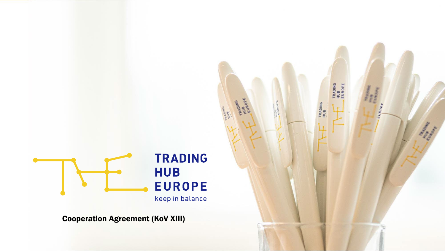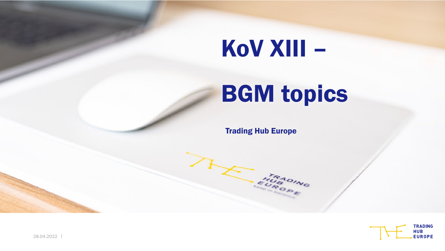# KoV XIII –

# BGM topics

Trading Hub Europe

FUROPLE



| 28.04.2022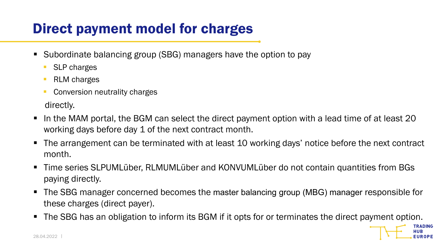# Direct payment model for charges

- Subordinate balancing group (SBG) managers have the option to pay
	- SLP charges
	- **RLM** charges
	- **Conversion neutrality charges**

directly.

- In the MAM portal, the BGM can select the direct payment option with a lead time of at least 20 working days before day 1 of the next contract month.
- The arrangement can be terminated with at least 10 working days' notice before the next contract month.
- Time series SLPUMLüber, RLMUMLüber and KONVUMLüber do not contain quantities from BGs paying directly.
- The SBG manager concerned becomes the master balancing group (MBG) manager responsible for these charges (direct payer).
- The SBG has an obligation to inform its BGM if it opts for or terminates the direct payment option.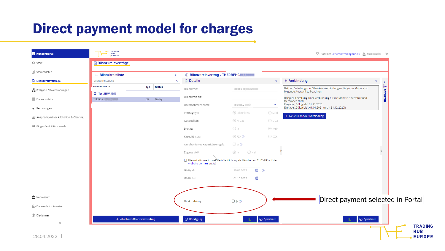# Direct payment model for charges

| Bilanzkreisverträge<br><b>命</b> Start<br>■ Stammdaten<br>1 Bilanzkreisvertrag - THEOBFH0, 1999<br><b>i⊟ Bilanzkreisliste</b><br>$\triangleleft$<br><b>Details</b><br>& Verbindung<br>Bilanzkreissuche<br>$\times$<br>$\triangleleft$<br>Bilanzkreisverträge<br>€<br>Dilangkesia <sup>A</sup><br>Typ<br><b>Status</b><br>Bei der Erstellung von Bilanzkreisverbindungen für ganze Monate ist<br>THEOBFHC The Company<br>Bilanzkreis:<br>움 Freigabe BK-Verbindungen<br>folgende Auswahl zu beachten:<br>$\blacksquare$ Test BKV<br>Bilanzkreis alt:<br>Beispiel: Erstellung einer Verbindung für die Monate November und<br><b>E</b> Datenportal ><br>Gültig<br>THEOBFHOLD THE<br>BK<br>Dezember 2020:<br>Eingabe "Gültig ab": 01.11.2020<br>Test BKV.<br>$\triangledown$<br>Unternehmensname:<br>Eingabe "Gültig bis": 01.01.2021 (nicht 31.12.2020!)<br>€ Rechnungen<br>○ Subl:<br>Bilanzkreis<br>Vertragstyp:<br>+ Neue Bilanzkreisverbindung<br>® Ansprechpartner Allokation & Clearing<br>$O$ L-Ga<br>O H-Gas<br>Gasqualität:<br>e Biogasflexibilitätstausch<br>◉ Nein<br>O ja<br>Biogas: |
|----------------------------------------------------------------------------------------------------------------------------------------------------------------------------------------------------------------------------------------------------------------------------------------------------------------------------------------------------------------------------------------------------------------------------------------------------------------------------------------------------------------------------------------------------------------------------------------------------------------------------------------------------------------------------------------------------------------------------------------------------------------------------------------------------------------------------------------------------------------------------------------------------------------------------------------------------------------------------------------------------------------------------------------------------------------------------------------------|
|                                                                                                                                                                                                                                                                                                                                                                                                                                                                                                                                                                                                                                                                                                                                                                                                                                                                                                                                                                                                                                                                                              |
|                                                                                                                                                                                                                                                                                                                                                                                                                                                                                                                                                                                                                                                                                                                                                                                                                                                                                                                                                                                                                                                                                              |
|                                                                                                                                                                                                                                                                                                                                                                                                                                                                                                                                                                                                                                                                                                                                                                                                                                                                                                                                                                                                                                                                                              |
|                                                                                                                                                                                                                                                                                                                                                                                                                                                                                                                                                                                                                                                                                                                                                                                                                                                                                                                                                                                                                                                                                              |
|                                                                                                                                                                                                                                                                                                                                                                                                                                                                                                                                                                                                                                                                                                                                                                                                                                                                                                                                                                                                                                                                                              |
|                                                                                                                                                                                                                                                                                                                                                                                                                                                                                                                                                                                                                                                                                                                                                                                                                                                                                                                                                                                                                                                                                              |
|                                                                                                                                                                                                                                                                                                                                                                                                                                                                                                                                                                                                                                                                                                                                                                                                                                                                                                                                                                                                                                                                                              |
|                                                                                                                                                                                                                                                                                                                                                                                                                                                                                                                                                                                                                                                                                                                                                                                                                                                                                                                                                                                                                                                                                              |
|                                                                                                                                                                                                                                                                                                                                                                                                                                                                                                                                                                                                                                                                                                                                                                                                                                                                                                                                                                                                                                                                                              |
|                                                                                                                                                                                                                                                                                                                                                                                                                                                                                                                                                                                                                                                                                                                                                                                                                                                                                                                                                                                                                                                                                              |
| $O$ DZK<br>⊙ FZK ⑦<br>Kapazitätstyp:                                                                                                                                                                                                                                                                                                                                                                                                                                                                                                                                                                                                                                                                                                                                                                                                                                                                                                                                                                                                                                                         |
| $\Box$ Ja $\odot$<br>Unrabattiertes Kapazitätsentgelt:                                                                                                                                                                                                                                                                                                                                                                                                                                                                                                                                                                                                                                                                                                                                                                                                                                                                                                                                                                                                                                       |
| ◉ Ja<br>$\bigcirc$ Nein<br>Zugang VHP:                                                                                                                                                                                                                                                                                                                                                                                                                                                                                                                                                                                                                                                                                                                                                                                                                                                                                                                                                                                                                                                       |
| □ Hiermit stimme ich <a> der</a> der öffentlichung als Händler am THE VHP auf der<br>Website der THE zu. 2                                                                                                                                                                                                                                                                                                                                                                                                                                                                                                                                                                                                                                                                                                                                                                                                                                                                                                                                                                                   |
| 曲の<br>10.03.2022<br>Gültig ab:                                                                                                                                                                                                                                                                                                                                                                                                                                                                                                                                                                                                                                                                                                                                                                                                                                                                                                                                                                                                                                                               |
| 曲<br>01.10.2035<br>Gültig bis:                                                                                                                                                                                                                                                                                                                                                                                                                                                                                                                                                                                                                                                                                                                                                                                                                                                                                                                                                                                                                                                               |
|                                                                                                                                                                                                                                                                                                                                                                                                                                                                                                                                                                                                                                                                                                                                                                                                                                                                                                                                                                                                                                                                                              |
| <b>画</b> Impressum                                                                                                                                                                                                                                                                                                                                                                                                                                                                                                                                                                                                                                                                                                                                                                                                                                                                                                                                                                                                                                                                           |
| Direct payment selected in Portal<br>$\Box$ Ja $\odot$<br>Direktzahlung:<br>en Datenschutzhinweise                                                                                                                                                                                                                                                                                                                                                                                                                                                                                                                                                                                                                                                                                                                                                                                                                                                                                                                                                                                           |
|                                                                                                                                                                                                                                                                                                                                                                                                                                                                                                                                                                                                                                                                                                                                                                                                                                                                                                                                                                                                                                                                                              |
| (i) Disclaimer<br>$\odot$ Speichern<br>$\Theta$ Kündigung<br>$\odot$ Speichern<br>+ Abschluss Bilanzkreisvertrag<br>自<br>图                                                                                                                                                                                                                                                                                                                                                                                                                                                                                                                                                                                                                                                                                                                                                                                                                                                                                                                                                                   |
| $\ll$                                                                                                                                                                                                                                                                                                                                                                                                                                                                                                                                                                                                                                                                                                                                                                                                                                                                                                                                                                                                                                                                                        |
| 28.04.2022                                                                                                                                                                                                                                                                                                                                                                                                                                                                                                                                                                                                                                                                                                                                                                                                                                                                                                                                                                                                                                                                                   |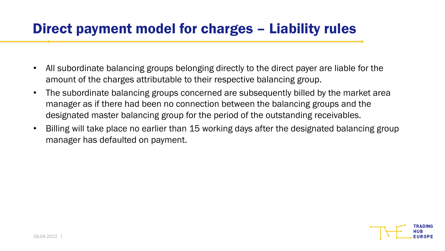## Direct payment model for charges – Liability rules

- All subordinate balancing groups belonging directly to the direct payer are liable for the amount of the charges attributable to their respective balancing group.
- The subordinate balancing groups concerned are subsequently billed by the market area manager as if there had been no connection between the balancing groups and the designated master balancing group for the period of the outstanding receivables.
- Billing will take place no earlier than 15 working days after the designated balancing group manager has defaulted on payment.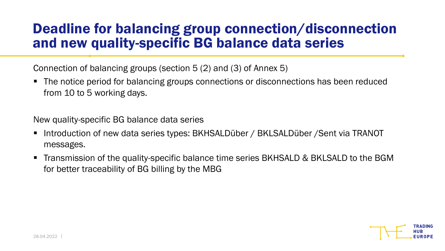### Deadline for balancing group connection/disconnection and new quality-specific BG balance data series

Connection of balancing groups (section 5 (2) and (3) of Annex 5)

 The notice period for balancing groups connections or disconnections has been reduced from 10 to 5 working days.

New quality-specific BG balance data series

- Introduction of new data series types: BKHSALDüber / BKLSALDüber / Sent via TRANOT messages.
- Transmission of the quality-specific balance time series BKHSALD & BKLSALD to the BGM for better traceability of BG billing by the MBG

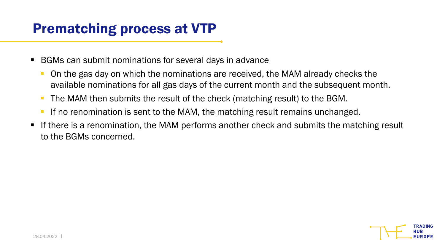# Prematching process at VTP

- BGMs can submit nominations for several days in advance
	- On the gas day on which the nominations are received, the MAM already checks the available nominations for all gas days of the current month and the subsequent month.
	- The MAM then submits the result of the check (matching result) to the BGM.
	- If no renomination is sent to the MAM, the matching result remains unchanged.
- If there is a renomination, the MAM performs another check and submits the matching result to the BGMs concerned.